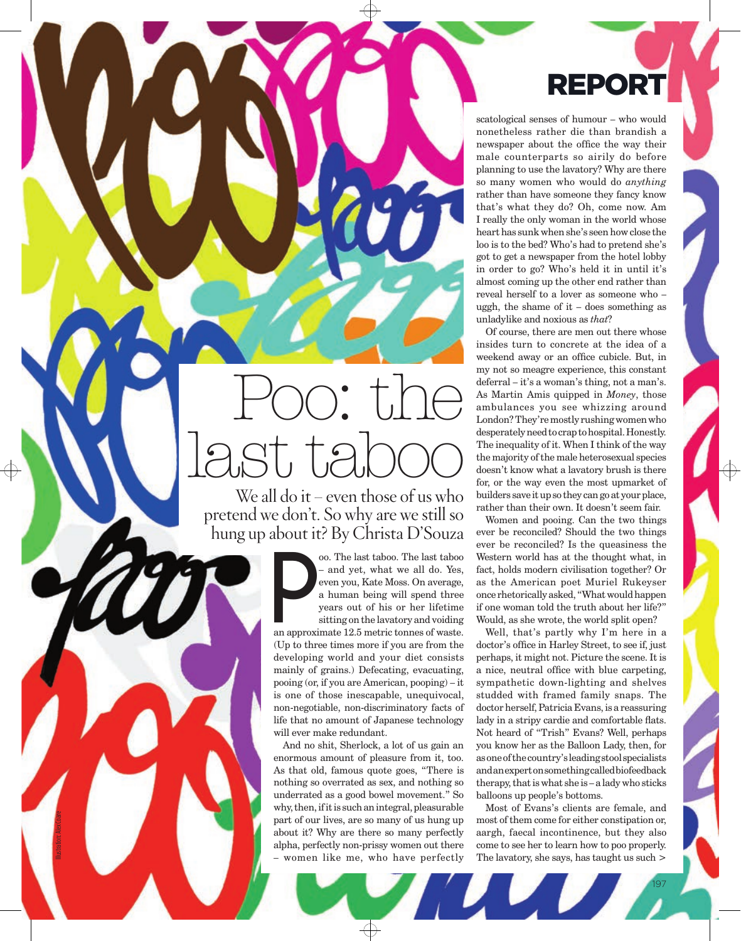## REPORT

scatological senses of humour – who would nonetheless rather die than brandish a newspaper about the office the way their male counterparts so airily do before planning to use the lavatory? Why are there so many women who would do *anything* rather than have someone they fancy know that's what they do? Oh, come now. Am I really the only woman in the world whose heart has sunk when she's seen how close the loo is to the bed? Who's had to pretend she's got to get a newspaper from the hotel lobby in order to go? Who's held it in until it's almost coming up the other end rather than reveal herself to a lover as someone who – uggh, the shame of it – does something as unladylike and noxious as *that*?

Of course, there are men out there whose insides turn to concrete at the idea of a weekend away or an office cubicle. But, in my not so meagre experience, this constant deferral – it's a woman's thing, not a man's. As Martin Amis quipped in *Money*, those ambulances you see whizzing around London? They're mostly rushing women who desperately need to crap to hospital. Honestly. The inequality of it. When I think of the way the majority of the male heterosexual species doesn't know what a lavatory brush is there for, or the way even the most upmarket of builders save it up so they can go at your place, rather than their own. It doesn't seem fair.

Women and pooing. Can the two things ever be reconciled? Should the two things ever be reconciled? Is the queasiness the Western world has at the thought what, in fact, holds modern civilisation together? Or as the American poet Muriel Rukeyser once rhetorically asked, "What would happen if one woman told the truth about her life?" Would, as she wrote, the world split open?

Well, that's partly why I'm here in a doctor's office in Harley Street, to see if, just perhaps, it might not. Picture the scene. It is a nice, neutral office with blue carpeting, sympathetic down-lighting and shelves studded with framed family snaps. The doctor herself, Patricia Evans, is a reassuring lady in a stripy cardie and comfortable flats. Not heard of "Trish" Evans? Well, perhaps you know her as the Balloon Lady, then, for as one of the country's leading stool specialists and an expert on something called biofeedback therapy, that is what she is – a lady who sticks balloons up people's bottoms.

Most of Evans's clients are female, and most of them come for either constipation or, aargh, faecal incontinence, but they also come to see her to learn how to poo properly. The lavatory, she says, has taught us such >

197

## Poo: the Assem last taboo

We all do it – even those of us who pretend we don't. So why are we still so hung up about it? By Christa D'Souza

oo. The last taboo. The last taboo – and yet, what we all do. Yes, even you, Kate Moss. On average, a human being will spend three years out of his or her lifetime sitting on the lavatory and voiding  $\sum_{\substack{e \text{ odd}}}^{\infty}$ 

an approximate 12.5 metric tonnes of waste. (Up to three times more if you are from the developing world and your diet consists mainly of grains.) Defecating, evacuating, pooing (or, if you are American, pooping) – it is one of those inescapable, unequivocal, non-negotiable, non-discriminatory facts of life that no amount of Japanese technology will ever make redundant.

And no shit, Sherlock, a lot of us gain an enormous amount of pleasure from it, too. As that old, famous quote goes, "There is nothing so overrated as sex, and nothing so underrated as a good bowel movement." So why, then, if it is such an integral, pleasurable part of our lives, are so many of us hung up about it? Why are there so many perfectly alpha, perfectly non-prissy women out there – women like me, who have perfectly

Illustration: Alex Coare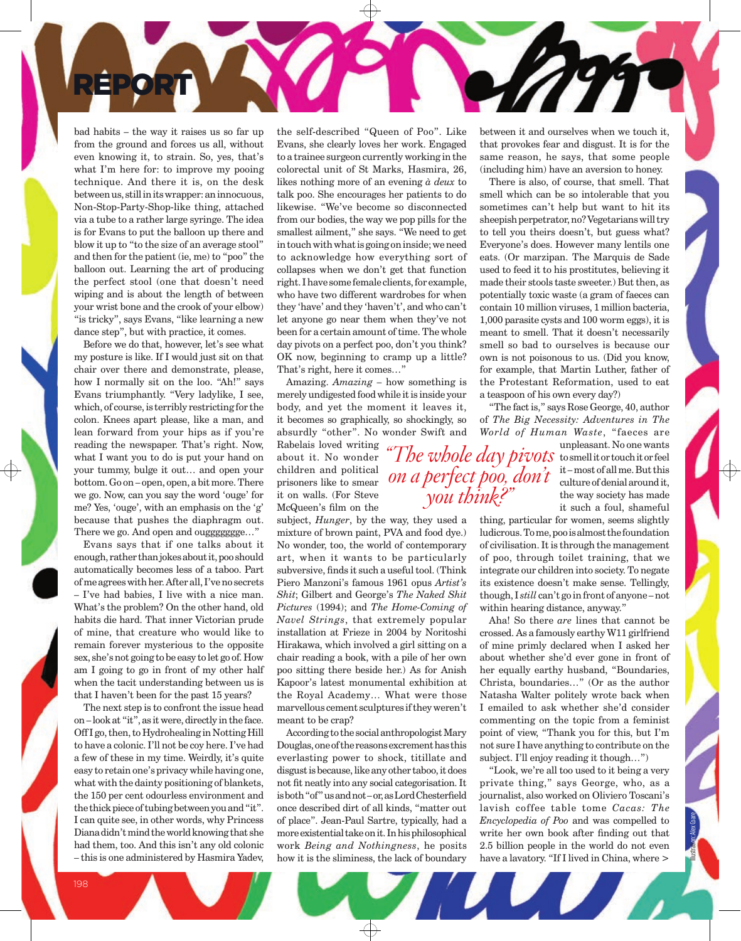bad habits – the way it raises us so far up from the ground and forces us all, without even knowing it, to strain. So, yes, that's what I'm here for: to improve my pooing technique. And there it is, on the desk between us, still in its wrapper: an innocuous, Non-Stop-Party-Shop-like thing, attached via a tube to a rather large syringe. The idea is for Evans to put the balloon up there and blow it up to "to the size of an average stool" and then for the patient (ie, me) to "poo" the balloon out. Learning the art of producing the perfect stool (one that doesn't need wiping and is about the length of between your wrist bone and the crook of your elbow) "is tricky", says Evans, "like learning a new dance step", but with practice, it comes.

RÉPOR

Before we do that, however, let's see what my posture is like. If I would just sit on that chair over there and demonstrate, please, how I normally sit on the loo. "Ah!" says Evans triumphantly. "Very ladylike, I see, which, of course, is terribly restricting for the colon. Knees apart please, like a man, and lean forward from your hips as if you're reading the newspaper. That's right. Now, what I want you to do is put your hand on your tummy, bulge it out… and open your bottom. Go on – open, open, a bit more. There we go. Now, can you say the word 'ouge' for me? Yes, 'ouge', with an emphasis on the 'g' because that pushes the diaphragm out. There we go. And open and ouggggggge…"

Evans says that if one talks about it enough, rather than jokes about it, poo should automatically becomes less of a taboo. Part of me agrees with her. After all, I've no secrets – I've had babies, I live with a nice man. What's the problem? On the other hand, old habits die hard. That inner Victorian prude of mine, that creature who would like to remain forever mysterious to the opposite sex, she's not going to be easy to let go of. How am I going to go in front of my other half when the tacit understanding between us is that I haven't been for the past 15 years?

The next step is to confront the issue head on – look at "it", as it were, directly in the face. Off I go, then, to Hydrohealing in Notting Hill to have a colonic. I'll not be coy here. I've had a few of these in my time. Weirdly, it's quite easy to retain one's privacy while having one, what with the dainty positioning of blankets, the 150 per cent odourless environment and the thick piece of tubing between you and "it". I can quite see, in other words, why Princess Diana didn't mind the world knowing that she had them, too. And this isn't any old colonic – this is one administered by Hasmira Yadev,

the self-described "Queen of Poo". Like Evans, she clearly loves her work. Engaged to a trainee surgeon currently working in the colorectal unit of St Marks, Hasmira, 26, likes nothing more of an evening *à deux* to talk poo. She encourages her patients to do likewise. "We've become so disconnected from our bodies, the way we pop pills for the smallest ailment," she says. "We need to get in touch with what is going on inside; we need to acknowledge how everything sort of collapses when we don't get that function right. I have some female clients, for example, who have two different wardrobes for when they 'have' and they 'haven't', and who can't let anyone go near them when they've not been for a certain amount of time. The whole day pivots on a perfect poo, don't you think? OK now, beginning to cramp up a little? That's right, here it comes…"

Amazing. *Amazing* – how something is merely undigested food while it is inside your body, and yet the moment it leaves it, it becomes so graphically, so shockingly, so absurdly "other". No wonder Swift and

> *on a perfect poo, don't you think?"*

Rabelais loved writing about it. No wonder children and political prisoners like to smear it on walls. (For Steve McQueen's film on the

subject, *Hunger*, by the way, they used a mixture of brown paint, PVA and food dye.) No wonder, too, the world of contemporary art, when it wants to be particularly subversive, finds it such a useful tool. (Think Piero Manzoni's famous 1961 opus *Artist's Shit*; Gilbert and George's *The Naked Shit Pictures* (1994); and *The Home-Coming of Navel Strings*, that extremely popular installation at Frieze in 2004 by Noritoshi Hirakawa, which involved a girl sitting on a chair reading a book, with a pile of her own poo sitting there beside her.) As for Anish Kapoor's latest monumental exhibition at the Royal Academy… What were those marvellous cement sculptures if they weren't meant to be crap?

According to the social anthropologist Mary Douglas, one of the reasons excrement has this everlasting power to shock, titillate and disgust is because, like any other taboo, it does not fit neatly into any social categorisation. It is both "of" us and not – or, as Lord Chesterfield once described dirt of all kinds, "matter out of place". Jean-Paul Sartre, typically, had a more existential take on it. In his philosophical work *Being and Nothingness*, he posits how it is the sliminess, the lack of boundary

between it and ourselves when we touch it, that provokes fear and disgust. It is for the same reason, he says, that some people (including him) have an aversion to honey.

There is also, of course, that smell. That smell which can be so intolerable that you sometimes can't help but want to hit its sheepish perpetrator, no? Vegetarians will try to tell you theirs doesn't, but guess what? Everyone's does. However many lentils one eats. (Or marzipan. The Marquis de Sade used to feed it to his prostitutes, believing it made their stools taste sweeter.) But then, as potentially toxic waste (a gram of faeces can contain 10 million viruses, 1 million bacteria, 1,000 parasite cysts and 100 worm eggs), it is meant to smell. That it doesn't necessarily smell so bad to ourselves is because our own is not poisonous to us. (Did you know, for example, that Martin Luther, father of the Protestant Reformation, used to eat a teaspoon of his own every day?)

"The fact is," says Rose George, 40, author of *The Big Necessity: Adventures in The World of Human Waste*, "faeces are

unpleasant. No one wants to smell it or touch it or feel "The whole day pivots to smell it or touch it or feel culture of denial around it, the way society has made it such a foul, shameful

thing, particular for women, seems slightly ludicrous. To me, poo is almost the foundation of civilisation. It is through the management of poo, through toilet training, that we integrate our children into society. To negate its existence doesn't make sense. Tellingly, though, I *still* can't go in front of anyone – not within hearing distance, anyway."

Aha! So there *are* lines that cannot be crossed. As a famously earthy W11 girlfriend of mine primly declared when I asked her about whether she'd ever gone in front of her equally earthy husband, "Boundaries, Christa, boundaries…" (Or as the author Natasha Walter politely wrote back when I emailed to ask whether she'd consider commenting on the topic from a feminist point of view, "Thank you for this, but I'm not sure I have anything to contribute on the subject. I'll enjoy reading it though…")

"Look, we're all too used to it being a very private thing," says George, who, as a journalist, also worked on Oliviero Toscani's lavish coffee table tome *Cacas: The Encyclopedia of Poo* and was compelled to write her own book after finding out that 2.5 billion people in the world do not even have a lavatory. "If I lived in China, where >

Illustration: Alex Coare

198